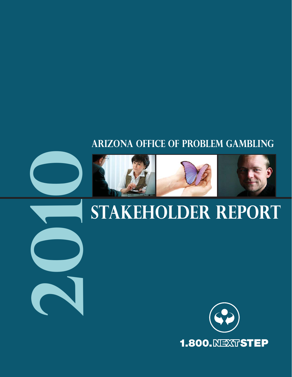# **Arizona Office of problem gambling**









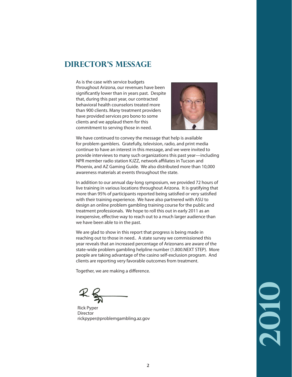### **Director's MessAGE**

As is the case with service budgets throughout Arizona, our revenues have been significantly lower than in years past. Despite that, during this past year, our contracted behavioral health counselors treated more than 900 clients. Many treatment providers have provided services pro bono to some clients and we applaud them for this commitment to serving those in need.



We have continued to convey the message that help is available for problem gamblers. Gratefully, television, radio, and print media continue to have an interest in this message, and we were invited to provide interviews to many such organizations this past year—including NPR member radio station KJZZ, network affiliates in Tucson and Phoenix, and AZ Gaming Guide. We also distributed more than 10,000 awareness materials at events throughout the state.

In addition to our annual day-long symposium, we provided 72 hours of live training in various locations throughout Arizona. It is gratifying that more than 95% of participants reported being satisfied or very satisfied with their training experience. We have also partnered with ASU to design an online problem gambling training course for the public and treatment professionals. We hope to roll this out in early 2011 as an inexpensive, effective way to reach out to a much larger audience than we have been able to in the past.

We are glad to show in this report that progress is being made in reaching out to those in need.. A state survey we commissioned this year reveals that an increased percentage of Arizonans are aware of the state-wide problem gambling helpline number (1.800.NEXT STEP). More people are taking advantage of the casino self-exclusion program. And clients are reporting very favorable outcomes from treatment.

Together, we are making a difference.

Rick Pyper Director rickpyper@problemgambling.az.gov

**2010**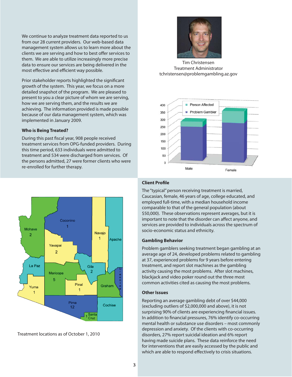We continue to analyze treatment data reported to us from our 28 current providers. Our web-based data management system allows us to learn more about the clients we are serving and how to best offer services to them. We are able to utilize increasingly more precise data to ensure our services are being delivered in the most effective and efficient way possible.

Prior stakeholder reports highlighted the significant growth of the system. This year, we focus on a more detailed snapshot of the program. We are pleased to present to you a clear picture of whom we are serving, how we are serving them, and the results we are achieving. The information provided is made possible because of our data management system, which was implemented in January 2009.

#### **Who is Being Treated?**

During this past fiscal year, 908 people received treatment services from OPG-funded providers. During this time period, 633 individuals were admitted to treatment and 534 were discharged from services. Of the persons admitted, 27 were former clients who were re-enrolled for further therapy.



Treatment locations as of October 1, 2010



Tim Christensen Treatment Administrator tchristensen@problemgambling.az.gov



#### **Client Profile**

The "typical" person receiving treatment is married, Caucasian, female, 46 years of age, college educated, and employed full-time, with a median household income comparable to that of the general population (about \$50,000). These observations represent averages, but it is important to note that the disorder can affect anyone, and services are provided to individuals across the spectrum of socio-economic status and ethnicity.

#### **Gambling Behavior**

Problem gamblers seeking treatment began gambling at an average age of 24, developed problems related to gambling at 37, experienced problems for 9 years before entering treatment, and report slot machines as the gambling activity causing the most problems. After slot machines, blackjack and video poker round out the three most common activities cited as causing the most problems.

#### **Other Issues**

Reporting an average gambling debt of over \$44,000 (excluding outliers of \$2,000,000 and above), it is not surprising 90% of clients are experiencing financial issues. In addition to financial pressures, 76% identify co-occurring mental health or substance use disorders – most commonly depression and anxiety. Of the clients with co-occurring disorders, 27% report suicidal ideation and 6% report having made suicide plans. These data reinforce the need for interventions that are easily accessed by the public and which are able to respond effectively to crisis situations.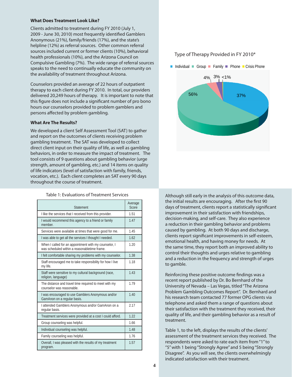#### **What Does Treatment Look Like?**

Clients admitted to treatment during FY 2010 (July 1, 2009 - June 30, 2010) most frequently identified Gamblers Anonymous (21%), family/friends (17%), and the state's helpline (12%) as referral sources. Other common referral sources included current or former clients (10%), behavioral health professionals (10%), and the Arizona Council on Compulsive Gambling (7%). The wide range of referral sources speaks to the need to continually educate the community on the availability of treatment throughout Arizona.

Counselors provided an average of 22 hours of outpatient therapy to each client during FY 2010. In total, our providers delivered 20,249 hours of therapy. It is important to note that this figure does not include a significant number of pro bono hours our counselors provided to problem gamblers and persons affected by problem gambling.

#### **What Are The Results?**

We developed a client Self Assessment Tool (SAT) to gather and report on the outcomes of clients receiving problem gambling treatment. The SAT was developed to collect direct client input on their quality of life, as well as gambling behaviors, in order to measure the impact of treatment. The tool consists of 9 questions about gambling behavior (urge strength, amount of gambling, etc.) and 14 items on quality of life indicators (level of satisfaction with family, friends, vocation, etc.). Each client completes an SAT every 90 days throughout the course of treatment.

#### Table 1: Evaluations of Treatment Services

| Statement                                                                                             | Average<br>Score |
|-------------------------------------------------------------------------------------------------------|------------------|
| I like the services that I received from this provider.                                               | 1.51             |
| I would recommend this agency to a friend or family<br>member.                                        | 1.47             |
| Services were available at times that were good for me.                                               | 1.45             |
| I was able to get all the services I thought I needed.                                                | 1.62             |
| When I called for an appointment with my counselor, I<br>was scheduled within a reasonabletime frame. | 1.20             |
| I felt comfortable sharing my problems with my counselor.                                             | 1.38             |
| Staff encouraged me to take responsibility for how I live<br>my life.                                 | 1.18             |
| Staff were sensitive to my cultural background (race,<br>religion, language)                          | 1.43             |
| The distance and travel time required to meet with my<br>counselor was reasonable.                    | 1.79             |
| I was encouraged to use Gamblers Anonymous and/or<br>GamAnon on a regular basis.                      | 1.40             |
| I attended Gamblers Anonymous and/or GamAnon on a<br>regular basis.                                   | 2.17             |
| Treatment services were provided at a cost I could afford.                                            | 1.22             |
| Group counseling was helpful.                                                                         | 1.66             |
| Individual counseling was helpful.                                                                    | 1.48             |
| Family counseling was helpful.                                                                        | 1.76             |
| Overall, I was pleased with the results of my treatment<br>program.                                   | 1.57             |

#### Type of Therapy Provided in FY 2010\*



Although still early in the analysis of this outcome data, the initial results are encouraging. After the first 90 days of treatment, clients report a statistically significant improvement in their satisfaction with friendships, decision-making, and self-care. They also experience a reduction in their gambling behavior and problems caused by gambling. At both 90 days and discharge, clients report significant improvements in self-esteem, emotional health, and having money for needs. At the same time, they report both an improved ability to control their thoughts and urges relative to gambling and a reduction in the frequency and strength of urges to gamble.

Reinforcing these positive outcome findings was a recent report published by Dr. Bo Bernhard of the University of Nevada – Las Vegas, titled "The Arizona Problem Gambling Outcomes Report". Dr. Bernhard and his research team contacted 77 former OPG clients via telephone and asked them a range of questions about their satisfaction with the treatment they received, their quality of life, and their gambling behavior as a result of treatment.

Table 1, to the left, displays the results of the clients' assessment of the treatment services they received. The respondents were asked to rate each item from "1" to "5" with 1 being "Strongly Agree" and 5 being "Strongly Disagree". As you will see, the clients overwhelmingly indicated satisfaction with their treatment.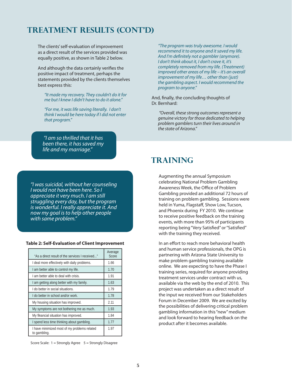### **Treatment Results (cont'd)**

The clients' self-evaluation of improvement as a direct result of the services provided was equally positive, as shown in Table 2 below.

And although the data certainly verifies the positive impact of treatment, perhaps the statements provided by the clients themselves best express this:

"It made my recovery. They couldn't do it for me but I knew I didn't have to do it alone."

"For me, it was life saving literally. I don't think I would be here today if I did not enter that program."

"I am so thrilled that it has been there, it has saved my life and my marriage."

"I was suicidal, without her counseling I would not have been here. So I appreciate it very much. I am still struggling every day, but the program is wonderful. I really appreciate it. And now my goal is to help other people with same problem."

#### **Table 2: Self-Evaluation of Client Improvement**

| "As a direct result of the services I received"              | Average<br>Score |
|--------------------------------------------------------------|------------------|
| I deal more effectively with daily problems.                 | 1.66             |
| I am better able to control my life.                         | 1.70             |
| I am better able to deal with crisis.                        | 1.91             |
| I am getting along better with my family.                    | 1.63             |
| I do better in social situations.                            | 1.79             |
| I do better in school and/or work.                           | 1.78             |
| My housing situation has improved.                           | 2.11             |
| My symptoms are not bothering me as much.                    | 1.93             |
| My financial situation has improved.                         | 1.84             |
| I spend less time thinking about gambling.                   | 1.77             |
| I have minimized most of my problems related<br>to gambling. | 1.97             |

Score Scale: 1 = Strongly Agree 5 = Strongly Disagree

"The program was truly awesome. I would recommend it to anyone and it saved my life. And I'm definitely not a gambler (anymore). I don't think about it, I don't crave it, it's completely removed from my life. (Treatment) improved other areas of my life – it's an overall improvement of my life… other than (just) the gambling aspect. I would recommend the program to anyone."

And, finally, the concluding thoughts of Dr. Bernhard:

 "Overall, these strong outcomes represent a genuine victory for those dedicated to helping problem gamblers turn their lives around in the state of Arizona."

#### **TrAINING**

Augmenting the annual Symposium celebrating National Problem Gambling Awareness Week, the Office of Problem Gambling provided an additional 72 hours of training on problem gambling. Sessions were held in Yuma, Flagstaff, Show Low, Tucson, and Phoenix during FY 2010. We continue to receive positive feedback on the training events, with more than 95% of participants reporting being "Very Satisfied" or "Satisfied" with the training they received.

In an effort to reach more behavioral health and human service professionals, the OPG is partnering with Arizona State University to make problem gambling training available online. We are expecting to have the Phase I training series, required for anyone providing treatment services under contract with us, available via the web by the end of 2010. This project was undertaken as a direct result of the input we received from our Stakeholders Forum in December 2009. We are excited by the possibilities of delivering critical problem gambling information in this "new" medium and look forward to hearing feedback on the product after it becomes available.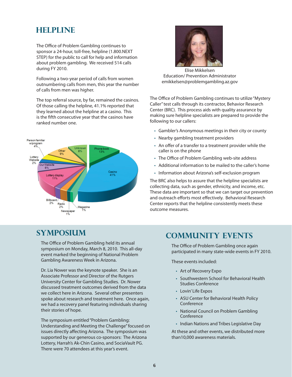### **hELPLINE**

The Office of Problem Gambling continues to sponsor a 24-hour, toll-free, helpline (1.800.NEXT STEP) for the public to call for help and information about problem gambling. We received 514 calls during FY 2010.

Following a two-year period of calls from women outnumbering calls from men, this year the number of calls from men was higher.

The top referral source, by far, remained the casinos. Of those calling the helpline, 41.1% reported that they learned about the helpline at a casino. This is the fifth consecutive year that the casinos have ranked number one.





Elise Mikkelsen Education/ Prevention Administrator emikkelsen@problemgambling.az.gov

The Office of Problem Gambling continues to utilize "Mystery Caller" test calls through its contractor, Behavior Research Center (BRC). This process aids with quality assurance by making sure helpline specialists are prepared to provide the following to our callers:

- Gambler's Anonymous meetings in their city or county
- Nearby gambling treatment providers
- An offer of a transfer to a treatment provider while the caller is on the phone
- The Office of Problem Gambling web-site address
- Additional information to be mailed to the caller's home
- Information about Arizona's self-exclusion program

The BRC also helps to assure that the helpline specialists are collecting data, such as gender, ethnicity, and income, etc. These data are important so that we can target our prevention and outreach efforts most effectively. Behavioral Research Center reports that the helpline consistently meets these outcome measures.

### **sYMPOSIUM**

The Office of Problem Gambling held its annual symposium on Monday, March 8, 2010. This all-day event marked the beginning of National Problem Gambling Awareness Week in Arizona.

Dr. Lia Nower was the keynote speaker. She is an Associate Professor and Director of the Rutgers University Center for Gambling Studies. Dr. Nower discussed treatment outcomes derived from the data we collect here in Arizona. Several other presenters spoke about research and treatment here. Once again, we had a recovery panel featuring individuals sharing their stories of hope.

The symposium entitled "Problem Gambling: Understanding and Meeting the Challenge" focused on issues directly affecting Arizona. The symposium was supported by our generous co-sponsors: The Arizona Lottery, Harrah's Ak-Chin Casino, and SociaVault PG. There were 70 attendees at this year's event.

### **cOMMUNITY eVENTS**

The Office of Problem Gambling once again participated in many state-wide events in FY 2010.

These events included:

- Art of Recovery Expo
- Southwestern School for Behavioral Health Studies Conference
- Lovin' Life Expos
- ASU Center for Behavioral Health Policy Conference
- National Council on Problem Gambling Conference
- Indian Nations and Tribes Legislative Day

At these and other events, we distributed more than10,000 awareness materials.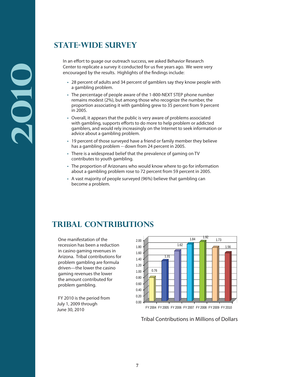### **State-wide survey**

In an effort to quage our outreach success, we asked Behavior Research Center to replicate a survey it conducted for us five years ago. We were very encouraged by the results. Highlights of the findings include:

- 28 percent of adults and 34 percent of gamblers say they know people with a gambling problem.
- The percentage of people aware of the 1-800-NEXT STEP phone number remains modest (2%), but among those who recognize the number, the proportion associating it with gambling grew to 35 percent from 9 percent in 2005.
- Overall, it appears that the public is very aware of problems associated with gambling, supports efforts to do more to help problem or addicted gamblers, and would rely increasingly on the Internet to seek information or advice about a gambling problem.
- 19 percent of those surveyed have a friend or family member they believe has a gambling problem -- down from 24 percent in 2005.
- There is a widespread belief that the prevalence of gaming on TV contributes to youth gambling.
- The proportion of Arizonans who would know where to go for information about a gambling problem rose to 72 percent from 59 percent in 2005.
- A vast majority of people surveyed (96%) believe that gambling can become a problem.

### **Tribal Contributions**

One manifestation of the recession has been a reduction in casino gaming revenues in Arizona. Tribal contributions for problem gambling are formula driven—the lower the casino gaming revenues the lower the amount contributed for problem gambling.

 FY 2010 is the period from July 1, 2009 through June 30, 2010



FY 2004 FY 2005 FY 2006 FY 2007 FY 2008 FY 2009 FY 2010

Tribal Contributions in Millions of Dollars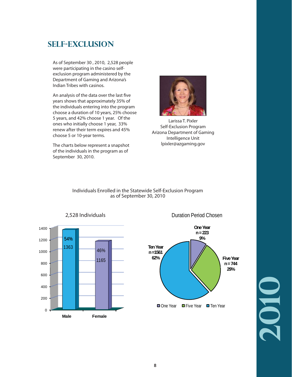### **Self-Exclusion**

As of September 30 , 2010, 2,528 people were participating in the casino selfexclusion program administered by the Department of Gaming and Arizona's Indian Tribes with casinos.

An analysis of the data over the last five years shows that approximately 35% of the individuals entering into the program choose a duration of 10 years, 25% choose 5 years, and 42% choose 1 year. Of the ones who initially choose 1 year, 33% renew after their term expires and 45% choose 5 or 10-year terms.

The charts below represent a snapshot of the individuals in the program as of September 30, 2010.



Larissa T. Pixler Self-Exclusion Program Arizona Department of Gaming Intelligence Unit lpixler@azgaming.gov







Duration Period Chosen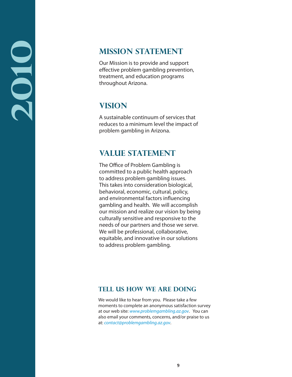### **Mission Statement**

Our Mission is to provide and support effective problem gambling prevention, treatment, and education programs throughout Arizona.

## **Vision**

A sustainable continuum of services that reduces to a minimum level the impact of problem gambling in Arizona.

### **Value Statement**

The Office of Problem Gambling is committed to a public health approach to address problem gambling issues. This takes into consideration biological, behavioral, economic, cultural, policy, and environmental factors influencing gambling and health. We will accomplish our mission and realize our vision by being culturally sensitive and responsive to the needs of our partners and those we serve. We will be professional, collaborative, equitable, and innovative in our solutions to address problem gambling.

#### **Tell Us How We Are Doing**

We would like to hear from you. Please take a few moments to complete an anonymous satisfaction survey at our web site: www.problemgambling.az.gov. You can also email your comments, concerns, and/or praise to us at: contact@problemgambling.az.gov.